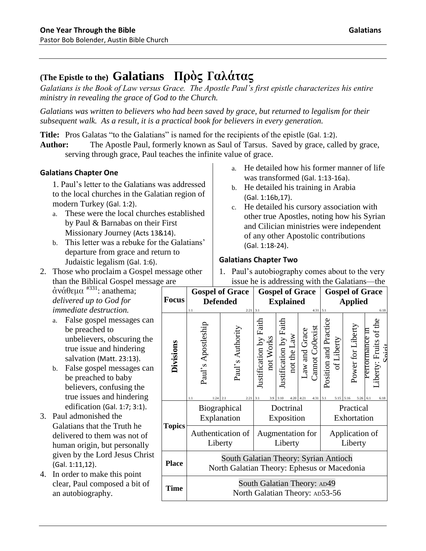# **(The Epistle to the) Galatians Πρὸς Γαλάτας**

*Galatians is the Book of Law versus Grace. The Apostle Paul's first epistle characterizes his entire ministry in revealing the grace of God to the Church.*

*Galatians was written to believers who had been saved by grace, but returned to legalism for their subsequent walk. As a result, it is a practical book for believers in every generation.*

**Title:** Pros Galatas "to the Galatians" is named for the recipients of the epistle (Gal. 1:2).

**Author:** The Apostle Paul, formerly known as Saul of Tarsus. Saved by grace, called by grace, serving through grace, Paul teaches the infinite value of grace.

## **Galatians Chapter One**

1. Paul's letter to the Galatians was addressed to the local churches in the Galatian region of modern Turkey (Gal. 1:2).

- a. These were the local churches established by Paul & Barnabas on their First Missionary Journey (Acts 13&14).
- b. This letter was a rebuke for the Galatians' departure from grace and return to Judaistic legalism (Gal. 1:6).
- 2. Those who proclaim a Gospel message other than the Biblical Gospel message are
- a. He detailed how his former manner of life was transformed (Gal. 1:13-16a).
- b. He detailed his training in Arabia (Gal. 1:16b,17).
- c. He detailed his cursory association with other true Apostles, noting how his Syrian and Cilician ministries were independent of any other Apostolic contributions (Gal. 1:18-24).

## **Galatians Chapter Two**

1. Paul's autobiography comes about to the very issue he is addressing with the Galatians—the

 $\dot{\alpha}$ νάθεμα  $^{#331}$ : anathema; *delivered up to God for immediate destruction.*

- a. False gospel messages can be preached to unbelievers, obscuring the true issue and hindering salvation (Matt. 23:13).
- b. False gospel messages can be preached to baby believers, confusing the true issues and hindering edification (Gal. 1:7; 3:1).
- 3. Paul admonished the Galatians that the Truth he delivered to them was not of human origin, but personally given by the Lord Jesus Christ (Gal. 1:11,12).
- 4. In order to make this point clear, Paul composed a bit of an autobiography.

|                  | <b>Gospel of Grace</b>                                                               |                                        | <b>Gospel of Grace</b>                     |                                                                    |                                      | <b>Gospel of Grace</b>                                                         |                               |                                                        |
|------------------|--------------------------------------------------------------------------------------|----------------------------------------|--------------------------------------------|--------------------------------------------------------------------|--------------------------------------|--------------------------------------------------------------------------------|-------------------------------|--------------------------------------------------------|
| <b>Focus</b>     | <b>Defended</b>                                                                      |                                        | <b>Explained</b>                           |                                                                    |                                      | <b>Applied</b>                                                                 |                               |                                                        |
| <b>Divisions</b> | 1:1<br>Paul's Apostleship<br>1:1<br>$1:24$ 2:1                                       | $2:21$ 3:1<br>Paul's Authority<br>2:21 | Justification by Faith<br>not Works<br>3:1 | Justification by Faith<br>not the Law<br>$3:9$ $3:10$<br>4:20 4:21 | $4:31$ $5:1$<br>aw and Grace<br>4:31 | Cannot Colexist<br>Position and Practice<br>of Liberty<br>5:1<br>$5:15$ $5:16$ | Power for Liberty<br>5:26 6:1 | 6:18<br>iberty: Fruits of the<br>errormance 11<br>6:18 |
| <b>Topics</b>    | Biographical<br>Explanation                                                          |                                        | Doctrinal<br>Exposition                    |                                                                    |                                      | Practical<br>Exhortation                                                       |                               |                                                        |
|                  | Authentication of<br>Liberty                                                         |                                        | Augmentation for<br>Liberty                |                                                                    |                                      | Application of<br>Liberty                                                      |                               |                                                        |
| <b>Place</b>     | South Galatian Theory: Syrian Antioch<br>North Galatian Theory: Ephesus or Macedonia |                                        |                                            |                                                                    |                                      |                                                                                |                               |                                                        |
| <b>Time</b>      | South Galatian Theory: AD49<br>North Galatian Theory: AD53-56                        |                                        |                                            |                                                                    |                                      |                                                                                |                               |                                                        |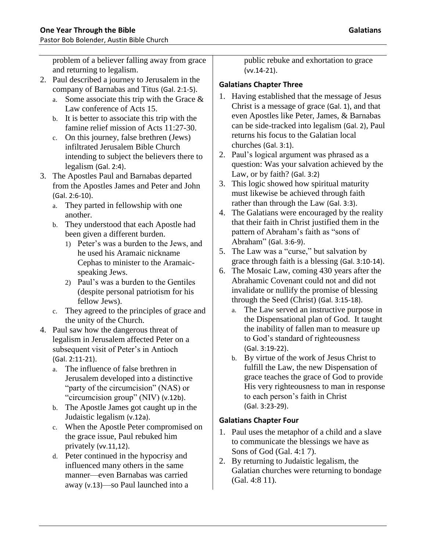problem of a believer falling away from grace and returning to legalism.

- 2. Paul described a journey to Jerusalem in the company of Barnabas and Titus (Gal. 2:1-5).
	- a. Some associate this trip with the Grace & Law conference of Acts 15.
	- b. It is better to associate this trip with the famine relief mission of Acts 11:27-30.
	- c. On this journey, false brethren (Jews) infiltrated Jerusalem Bible Church intending to subject the believers there to legalism (Gal. 2:4).
- 3. The Apostles Paul and Barnabas departed from the Apostles James and Peter and John (Gal. 2:6-10).
	- a. They parted in fellowship with one another.
	- b. They understood that each Apostle had been given a different burden.
		- 1) Peter's was a burden to the Jews, and he used his Aramaic nickname Cephas to minister to the Aramaicspeaking Jews.
		- 2) Paul's was a burden to the Gentiles (despite personal patriotism for his fellow Jews).
	- c. They agreed to the principles of grace and the unity of the Church.
- 4. Paul saw how the dangerous threat of legalism in Jerusalem affected Peter on a subsequent visit of Peter's in Antioch (Gal. 2:11-21).
	- a. The influence of false brethren in Jerusalem developed into a distinctive "party of the circumcision" (NAS) or "circumcision group" (NIV) (v.12b).
	- b. The Apostle James got caught up in the Judaistic legalism (v.12a).
	- c. When the Apostle Peter compromised on the grace issue, Paul rebuked him privately (vv.11,12).
	- d. Peter continued in the hypocrisy and influenced many others in the same manner—even Barnabas was carried away (v.13)—so Paul launched into a

public rebuke and exhortation to grace (vv.14-21).

## **Galatians Chapter Three**

- 1. Having established that the message of Jesus Christ is a message of grace (Gal. 1), and that even Apostles like Peter, James, & Barnabas can be side-tracked into legalism (Gal. 2), Paul returns his focus to the Galatian local churches (Gal. 3:1).
- 2. Paul's logical argument was phrased as a question: Was your salvation achieved by the Law, or by faith? (Gal. 3:2)
- 3. This logic showed how spiritual maturity must likewise be achieved through faith rather than through the Law (Gal. 3:3).
- 4. The Galatians were encouraged by the reality that their faith in Christ justified them in the pattern of Abraham's faith as "sons of Abraham" (Gal. 3:6-9).
- 5. The Law was a "curse," but salvation by grace through faith is a blessing (Gal. 3:10-14).
- 6. The Mosaic Law, coming 430 years after the Abrahamic Covenant could not and did not invalidate or nullify the promise of blessing through the Seed (Christ) (Gal. 3:15-18).
	- a. The Law served an instructive purpose in the Dispensational plan of God. It taught the inability of fallen man to measure up to God's standard of righteousness (Gal. 3:19-22).
	- b. By virtue of the work of Jesus Christ to fulfill the Law, the new Dispensation of grace teaches the grace of God to provide His very righteousness to man in response to each person's faith in Christ (Gal. 3:23-29).

## **Galatians Chapter Four**

- 1. Paul uses the metaphor of a child and a slave to communicate the blessings we have as Sons of God (Gal. 4:1 7).
- 2. By returning to Judaistic legalism, the Galatian churches were returning to bondage (Gal. 4:8 11).